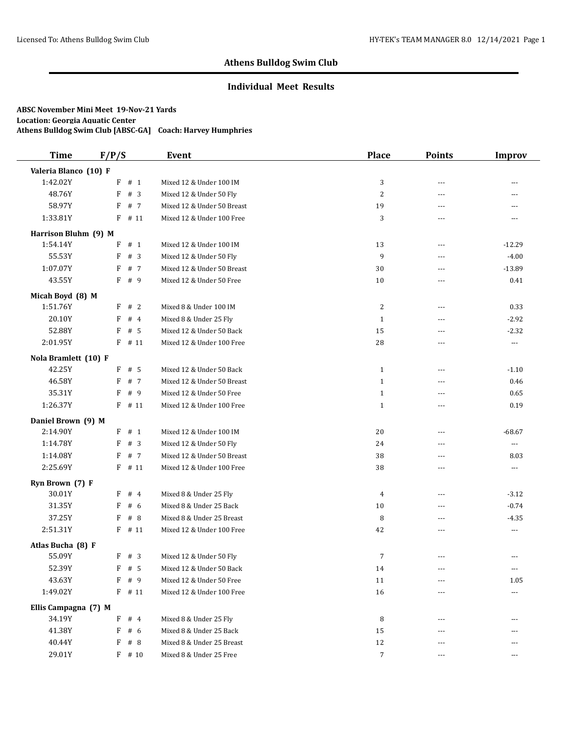### **Individual Meet Results**

| <b>Time</b>           | F/P/S     | Event                      | <b>Place</b>     | <b>Points</b>  | <b>Improv</b>         |
|-----------------------|-----------|----------------------------|------------------|----------------|-----------------------|
| Valeria Blanco (10) F |           |                            |                  |                |                       |
| 1:42.02Y              | $F$ # 1   | Mixed 12 & Under 100 IM    | 3                | $- - -$        | $\overline{a}$        |
| 48.76Y                | $F$ # 3   | Mixed 12 & Under 50 Fly    | $\sqrt{2}$       | ---            | ---                   |
| 58.97Y                | F<br># 7  | Mixed 12 & Under 50 Breast | 19               | $---$          | $---$                 |
| 1:33.81Y              | F<br># 11 | Mixed 12 & Under 100 Free  | 3                | ---            | $---$                 |
| Harrison Bluhm (9) M  |           |                            |                  |                |                       |
| 1:54.14Y              | # 1<br>F  | Mixed 12 & Under 100 IM    | 13               | $---$          | $-12.29$              |
| 55.53Y                | #3<br>F   | Mixed 12 & Under 50 Fly    | 9                | ---            | $-4.00$               |
| 1:07.07Y              | # 7<br>F  | Mixed 12 & Under 50 Breast | 30               | $- - -$        | $-13.89$              |
| 43.55Y                | F<br># 9  | Mixed 12 & Under 50 Free   | 10               | ---            | 0.41                  |
| Micah Boyd (8) M      |           |                            |                  |                |                       |
| 1:51.76Y              | #2<br>F   | Mixed 8 & Under 100 IM     | 2                | ---            | 0.33                  |
| 20.10Y                | #4<br>F   | Mixed 8 & Under 25 Fly     | $\mathbf{1}$     | $---$          | $-2.92$               |
| 52.88Y                | F<br># 5  | Mixed 12 & Under 50 Back   | 15               | ---            | $-2.32$               |
| 2:01.95Y              | $F$ # 11  | Mixed 12 & Under 100 Free  | 28               | $- - -$        | $\cdots$              |
| Nola Bramlett (10) F  |           |                            |                  |                |                       |
| 42.25Y                | $F$ # 5   | Mixed 12 & Under 50 Back   | $\mathbf{1}$     | $- - -$        | $-1.10$               |
| 46.58Y                | # 7<br>F  | Mixed 12 & Under 50 Breast | $\mathbf{1}$     | ---            | 0.46                  |
| 35.31Y                | F<br>#9   | Mixed 12 & Under 50 Free   | $\mathbf{1}$     | $---$          | 0.65                  |
| 1:26.37Y              | $F$ # 11  | Mixed 12 & Under 100 Free  | $\mathbf{1}$     | $---$          | 0.19                  |
| Daniel Brown (9) M    |           |                            |                  |                |                       |
| 2:14.90Y              | F # 1     | Mixed 12 & Under 100 IM    | 20               | $- - -$        | $-68.67$              |
| 1:14.78Y              | #3<br>F   | Mixed 12 & Under 50 Fly    | 24               | ---            | $\scriptstyle \cdots$ |
| 1:14.08Y              | F<br># 7  | Mixed 12 & Under 50 Breast | 38               | ---            | 8.03                  |
| 2:25.69Y              | F<br># 11 | Mixed 12 & Under 100 Free  | 38               | $\overline{a}$ | ---                   |
| Ryn Brown (7) F       |           |                            |                  |                |                       |
| 30.01Y                | #4<br>F   | Mixed 8 & Under 25 Fly     | $\overline{4}$   | ---            | $-3.12$               |
| 31.35Y                | F<br>#6   | Mixed 8 & Under 25 Back    | 10               | ---            | $-0.74$               |
| 37.25Y                | F<br>#8   | Mixed 8 & Under 25 Breast  | 8                | $- - -$        | $-4.35$               |
| 2:51.31Y              | F<br># 11 | Mixed 12 & Under 100 Free  | 42               | ---            | ---                   |
| Atlas Bucha (8) F     |           |                            |                  |                |                       |
| 55.09Y                | F # 3     | Mixed 12 & Under 50 Fly    | 7                | $\overline{a}$ | ---                   |
| 52.39Y                | $F$ # 5   | Mixed 12 & Under 50 Back   | 14               | ---            | $\cdots$              |
| 43.63Y                | F<br># 9  | Mixed 12 & Under 50 Free   | 11               | $- - -$        | 1.05                  |
| 1:49.02Y              | $F$ # 11  | Mixed 12 & Under 100 Free  | 16               |                | $\cdots$              |
| Ellis Campagna (7) M  |           |                            |                  |                |                       |
| 34.19Y                | F<br>#4   | Mixed 8 & Under 25 Fly     | 8                | ---            | ---                   |
| 41.38Y                | F<br># 6  | Mixed 8 & Under 25 Back    | 15               |                |                       |
| 40.44Y                | F<br># 8  | Mixed 8 & Under 25 Breast  | $12\,$           |                |                       |
| 29.01Y                | $F$ # 10  | Mixed 8 & Under 25 Free    | $\boldsymbol{7}$ | $---$          | $\cdots$              |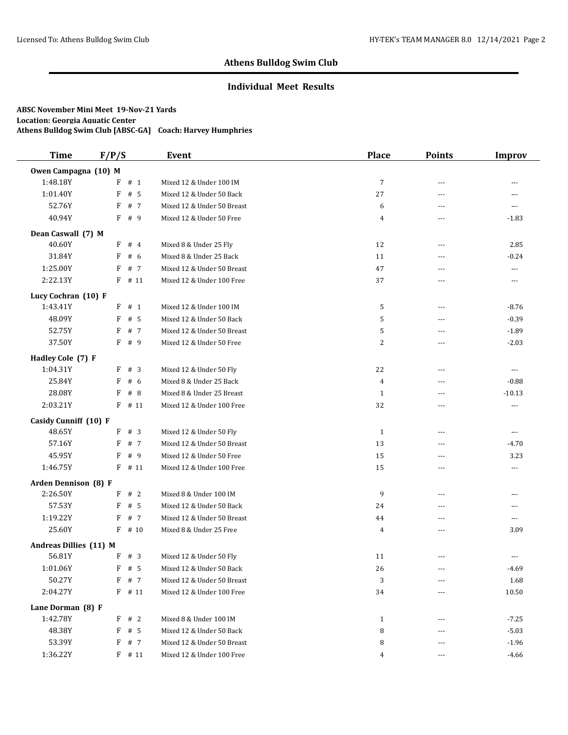### **Individual Meet Results**

| <b>Time</b>            | F/P/S     | Event                      | <b>Place</b>   | <b>Points</b>     | <b>Improv</b>  |
|------------------------|-----------|----------------------------|----------------|-------------------|----------------|
| Owen Campagna (10) M   |           |                            |                |                   |                |
| 1:48.18Y               | $F$ # 1   | Mixed 12 & Under 100 IM    | 7              | $- - -$           | $\overline{a}$ |
| 1:01.40Y               | F<br># 5  | Mixed 12 & Under 50 Back   | 27             | ---               | $\cdots$       |
| 52.76Y                 | F<br># 7  | Mixed 12 & Under 50 Breast | 6              | $---$             | $\overline{a}$ |
| 40.94Y                 | F<br>#9   | Mixed 12 & Under 50 Free   | $\overline{4}$ | ---               | $-1.83$        |
| Dean Caswall (7) M     |           |                            |                |                   |                |
| 40.60Y                 | F<br>#4   | Mixed 8 & Under 25 Fly     | 12             | $---$             | 2.85           |
| 31.84Y                 | # 6<br>F  | Mixed 8 & Under 25 Back    | 11             | ---               | $-0.24$        |
| 1:25.00Y               | # 7<br>F  | Mixed 12 & Under 50 Breast | 47             | ---               | ---            |
| 2:22.13Y               | $F$ # 11  | Mixed 12 & Under 100 Free  | 37             | ---               | ---            |
| Lucy Cochran (10) F    |           |                            |                |                   |                |
| 1:43.41Y               | # 1<br>F  | Mixed 12 & Under 100 IM    | 5              | ---               | $-8.76$        |
| 48.09Y                 | # 5<br>F  | Mixed 12 & Under 50 Back   | 5              | $---$             | $-0.39$        |
| 52.75Y                 | F<br># 7  | Mixed 12 & Under 50 Breast | 5              | ---               | $-1.89$        |
| 37.50Y                 | $F$ # 9   | Mixed 12 & Under 50 Free   | 2              | $---$             | $-2.03$        |
| Hadley Cole (7) F      |           |                            |                |                   |                |
| 1:04.31Y               | F # 3     | Mixed 12 & Under 50 Fly    | 22             | $- - -$           | $\cdots$       |
| 25.84Y                 | # 6<br>F  | Mixed 8 & Under 25 Back    | 4              | ---               | $-0.88$        |
| 28.08Y                 | F<br># 8  | Mixed 8 & Under 25 Breast  | $\mathbf{1}$   | $- - -$           | $-10.13$       |
| 2:03.21Y               | $F$ # 11  | Mixed 12 & Under 100 Free  | 32             | $---$             | $\ldots$       |
| Casidy Cunniff (10) F  |           |                            |                |                   |                |
| 48.65Y                 | F # 3     | Mixed 12 & Under 50 Fly    | $\mathbf{1}$   | $---$             | $\cdots$       |
| 57.16Y                 | F<br># 7  | Mixed 12 & Under 50 Breast | 13             | ---               | $-4.70$        |
| 45.95Y                 | F<br># 9  | Mixed 12 & Under 50 Free   | 15             | ---               | 3.23           |
| 1:46.75Y               | F<br># 11 | Mixed 12 & Under 100 Free  | 15             | ---               | ---            |
| Arden Dennison (8) F   |           |                            |                |                   |                |
| 2:26.50Y               | F # 2     | Mixed 8 & Under 100 IM     | 9              | $- - -$           | ---            |
| 57.53Y                 | $F$ # 5   | Mixed 12 & Under 50 Back   | 24             | ---               | ---            |
| 1:19.22Y               | # 7<br>F  | Mixed 12 & Under 50 Breast | 44             | $---$             | $---$          |
| 25.60Y                 | F<br># 10 | Mixed 8 & Under 25 Free    | 4              | ---               | 3.09           |
| Andreas Dillies (11) M |           |                            |                |                   |                |
| 56.81Y                 | F # 3     | Mixed 12 & Under 50 Fly    | 11             | ---               |                |
| 1:01.06Y               | $F$ # 5   | Mixed 12 & Under 50 Back   | 26             | $\qquad \qquad -$ | $-4.69$        |
| 50.27Y                 | F # 7     | Mixed 12 & Under 50 Breast | 3              | $- - -$           | 1.68           |
| 2:04.27Y               | $F$ # 11  | Mixed 12 & Under 100 Free  | 34             | ---               | 10.50          |
| Lane Dorman (8) F      |           |                            |                |                   |                |
| 1:42.78Y               | F<br>#2   | Mixed 8 & Under 100 IM     | $\mathbf{1}$   | ---               | $-7.25$        |
| 48.38Y                 | $F$ # 5   | Mixed 12 & Under 50 Back   | 8              | ---               | $-5.03$        |
| 53.39Y                 | F # 7     | Mixed 12 & Under 50 Breast | 8              |                   | $-1.96$        |
| 1:36.22Y               | $F$ # 11  | Mixed 12 & Under 100 Free  | $\overline{4}$ | $\cdots$          | $-4.66$        |
|                        |           |                            |                |                   |                |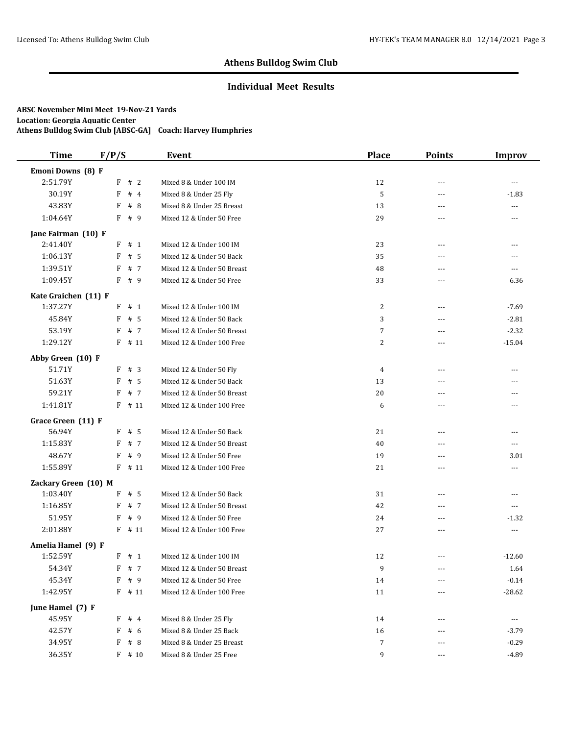### **Individual Meet Results**

| <b>Time</b>          | F/P/S      | <b>Event</b>               | <b>Place</b>   | <b>Points</b>  | <b>Improv</b>  |
|----------------------|------------|----------------------------|----------------|----------------|----------------|
| Emoni Downs (8) F    |            |                            |                |                |                |
| 2:51.79Y             | $F$ # 2    | Mixed 8 & Under 100 IM     | 12             | $\overline{a}$ | $\overline{a}$ |
| 30.19Y               | F<br>#4    | Mixed 8 & Under 25 Fly     | 5              | $- - -$        | $-1.83$        |
| 43.83Y               | F<br>#8    | Mixed 8 & Under 25 Breast  | 13             | $- - -$        | $\overline{a}$ |
| 1:04.64Y             | F<br>#9    | Mixed 12 & Under 50 Free   | 29             | ---            | ---            |
| Jane Fairman (10) F  |            |                            |                |                |                |
| 2:41.40Y             | F<br>#1    | Mixed 12 & Under 100 IM    | 23             | ---            | ---            |
| 1:06.13Y             | F<br># 5   | Mixed 12 & Under 50 Back   | 35             | $- - -$        | ---            |
| 1:39.51Y             | # 7<br>F   | Mixed 12 & Under 50 Breast | 48             | ---            | $\overline{a}$ |
| 1:09.45Y             | F<br># 9   | Mixed 12 & Under 50 Free   | 33             | ---            | 6.36           |
| Kate Graichen (11) F |            |                            |                |                |                |
| 1:37.27Y             | # 1<br>F   | Mixed 12 & Under 100 IM    | 2              | ---            | $-7.69$        |
| 45.84Y               | # 5<br>F   | Mixed 12 & Under 50 Back   | 3              | $---$          | $-2.81$        |
| 53.19Y               | F<br># 7   | Mixed 12 & Under 50 Breast | 7              | ---            | $-2.32$        |
| 1:29.12Y             | $F$ # 11   | Mixed 12 & Under 100 Free  | 2              | $---$          | $-15.04$       |
| Abby Green (10) F    |            |                            |                |                |                |
| 51.71Y               | F<br>#3    | Mixed 12 & Under 50 Fly    | $\overline{4}$ | ---            | ---            |
| 51.63Y               | F<br># 5   | Mixed 12 & Under 50 Back   | 13             | $- - -$        | ---            |
| 59.21Y               | # 7<br>F   | Mixed 12 & Under 50 Breast | 20             | $---$          | ---            |
| 1:41.81Y             | $F$ # 11   | Mixed 12 & Under 100 Free  | 6              | $\overline{a}$ | $---$          |
| Grace Green (11) F   |            |                            |                |                |                |
| 56.94Y               | $F$ # 5    | Mixed 12 & Under 50 Back   | 21             | $---$          | $---$          |
| 1:15.83Y             | F<br># 7   | Mixed 12 & Under 50 Breast | 40             | ---            | ---            |
| 48.67Y               | F<br>#9    | Mixed 12 & Under 50 Free   | 19             | $- - -$        | 3.01           |
| 1:55.89Y             | F<br># 11  | Mixed 12 & Under 100 Free  | 21             | $\overline{a}$ | ---            |
| Zackary Green (10) M |            |                            |                |                |                |
| 1:03.40Y             | F<br># 5   | Mixed 12 & Under 50 Back   | 31             | ---            | ---            |
| 1:16.85Y             | F<br># 7   | Mixed 12 & Under 50 Breast | 42             | $- - -$        | ---            |
| 51.95Y               | #9<br>F    | Mixed 12 & Under 50 Free   | 24             | $---$          | $-1.32$        |
| 2:01.88Y             | F<br># 11  | Mixed 12 & Under 100 Free  | 27             | ---            | ---            |
| Amelia Hamel (9) F   |            |                            |                |                |                |
| 1:52.59Y             | F # 1      | Mixed 12 & Under 100 IM    | 12             |                | $-12.60$       |
| 54.34Y               | $F$ # 7    | Mixed 12 & Under 50 Breast | 9              | ---            | 1.64           |
| 45.34Y               | # 9<br>F   | Mixed 12 & Under 50 Free   | 14             | $---$          | $-0.14$        |
| 1:42.95Y             | $F$ # 11   | Mixed 12 & Under 100 Free  | 11             | ---            | $-28.62$       |
| June Hamel (7) F     |            |                            |                |                |                |
| 45.95Y               | F # 4      | Mixed 8 & Under 25 Fly     | 14             | ---            | $\cdots$       |
| 42.57Y               | # $6$<br>F | Mixed 8 & Under 25 Back    | 16             |                | $-3.79$        |
| 34.95Y               | F<br>#8    | Mixed 8 & Under 25 Breast  | 7              |                | $-0.29$        |
| 36.35Y               | $F$ # 10   | Mixed 8 & Under 25 Free    | 9              | ---            | $-4.89$        |
|                      |            |                            |                |                |                |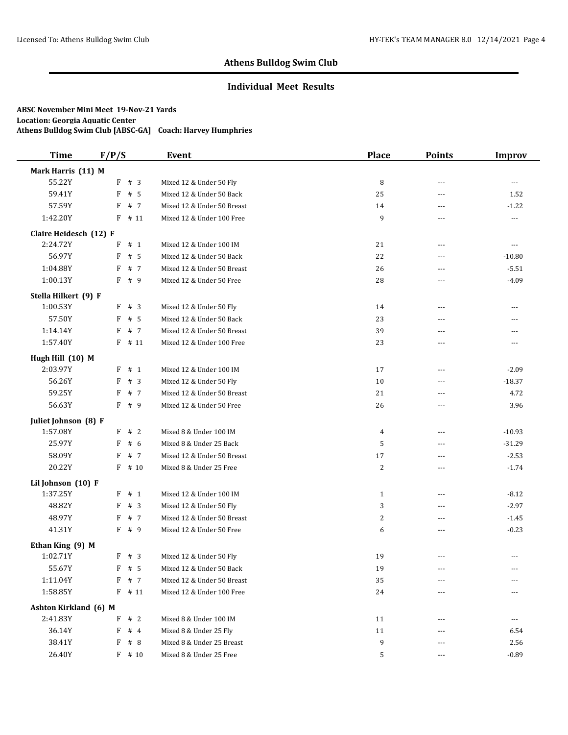### **Individual Meet Results**

| <b>Time</b>            | F/P/S     | Event                      | <b>Place</b>   | <b>Points</b>  | <b>Improv</b>                          |
|------------------------|-----------|----------------------------|----------------|----------------|----------------------------------------|
| Mark Harris (11) M     |           |                            |                |                |                                        |
| 55.22Y                 | $F$ # 3   | Mixed 12 & Under 50 Fly    | 8              | $---$          | $\scriptstyle\cdots$                   |
| 59.41Y                 | F<br># 5  | Mixed 12 & Under 50 Back   | 25             | $\sim$ $\sim$  | 1.52                                   |
| 57.59Y                 | F<br># 7  | Mixed 12 & Under 50 Breast | 14             | $---$          | $-1.22$                                |
| 1:42.20Y               | F<br># 11 | Mixed 12 & Under 100 Free  | 9              | $---$          | ---                                    |
| Claire Heidesch (12) F |           |                            |                |                |                                        |
| 2:24.72Y               | # 1<br>F  | Mixed 12 & Under 100 IM    | 21             | ---            | ---                                    |
| 56.97Y                 | #5<br>F   | Mixed 12 & Under 50 Back   | 22             | $---$          | $-10.80$                               |
| 1:04.88Y               | F<br># 7  | Mixed 12 & Under 50 Breast | 26             | $---$          | $-5.51$                                |
| 1:00.13Y               | F<br>#9   | Mixed 12 & Under 50 Free   | 28             | $\sim$ $\sim$  | $-4.09$                                |
| Stella Hilkert (9) F   |           |                            |                |                |                                        |
| 1:00.53Y               | #3<br>F   | Mixed 12 & Under 50 Fly    | 14             | $- - -$        | ---                                    |
| 57.50Y                 | # 5<br>F  | Mixed 12 & Under 50 Back   | 23             | $\sim$ $\sim$  | ---                                    |
| 1:14.14Y               | # 7<br>F  | Mixed 12 & Under 50 Breast | 39             | ---            | ---                                    |
| 1:57.40Y               | $F$ # 11  | Mixed 12 & Under 100 Free  | 23             | $\sim$ $\sim$  | ---                                    |
| Hugh Hill (10) M       |           |                            |                |                |                                        |
| 2:03.97Y               | F<br># 1  | Mixed 12 & Under 100 IM    | 17             | $\overline{a}$ | $-2.09$                                |
| 56.26Y                 | F<br>#3   | Mixed 12 & Under 50 Fly    | 10             | $\sim$ $\sim$  | $-18.37$                               |
| 59.25Y                 | F<br># 7  | Mixed 12 & Under 50 Breast | 21             | $- - -$        | 4.72                                   |
| 56.63Y                 | F<br># 9  | Mixed 12 & Under 50 Free   | 26             | $\sim$ $\sim$  | 3.96                                   |
| Juliet Johnson (8) F   |           |                            |                |                |                                        |
| 1:57.08Y               | F # 2     | Mixed 8 & Under 100 IM     | 4              | $---$          | $-10.93$                               |
| 25.97Y                 | F<br>#6   | Mixed 8 & Under 25 Back    | 5              | ---            | $-31.29$                               |
| 58.09Y                 | #7<br>F   | Mixed 12 & Under 50 Breast | 17             | $---$          | $-2.53$                                |
| 20.22Y                 | F<br># 10 | Mixed 8 & Under 25 Free    | 2              | ---            | $-1.74$                                |
| Lil Johnson (10) F     |           |                            |                |                |                                        |
| 1:37.25Y               | F # 1     | Mixed 12 & Under 100 IM    | $\mathbf{1}$   | $---$          | $-8.12$                                |
| 48.82Y                 | F<br>#3   | Mixed 12 & Under 50 Fly    | 3              | $---$          | $-2.97$                                |
| 48.97Y                 | # 7<br>F  | Mixed 12 & Under 50 Breast | $\overline{c}$ | $---$          | $-1.45$                                |
| 41.31Y                 | F<br># 9  | Mixed 12 & Under 50 Free   | 6              | $---$          | $-0.23$                                |
| Ethan King (9) M       |           |                            |                |                |                                        |
| 1:02.71Y               | F # 3     | Mixed 12 & Under 50 Fly    | 19             | ---            | ---                                    |
| 55.67Y                 | $F$ # 5   | Mixed 12 & Under 50 Back   | $19\,$         | $\cdots$       | ---                                    |
| 1:11.04Y               | F<br># 7  | Mixed 12 & Under 50 Breast | 35             | ---            | ---                                    |
| 1:58.85Y               | $F$ # 11  | Mixed 12 & Under 100 Free  | 24             | $---$          | ---                                    |
| Ashton Kirkland (6) M  |           |                            |                |                |                                        |
| 2:41.83Y               | F<br>#2   | Mixed 8 & Under 100 IM     | 11             | $---$          | $\scriptstyle\cdots\scriptstyle\cdots$ |
| 36.14Y                 | F<br>#4   | Mixed 8 & Under 25 Fly     | 11             |                | 6.54                                   |
| 38.41Y                 | #8<br>F   | Mixed 8 & Under 25 Breast  | 9              |                | 2.56                                   |
| 26.40Y                 | $F$ # 10  | Mixed 8 & Under 25 Free    | 5              | $\cdots$       | $-0.89$                                |
|                        |           |                            |                |                |                                        |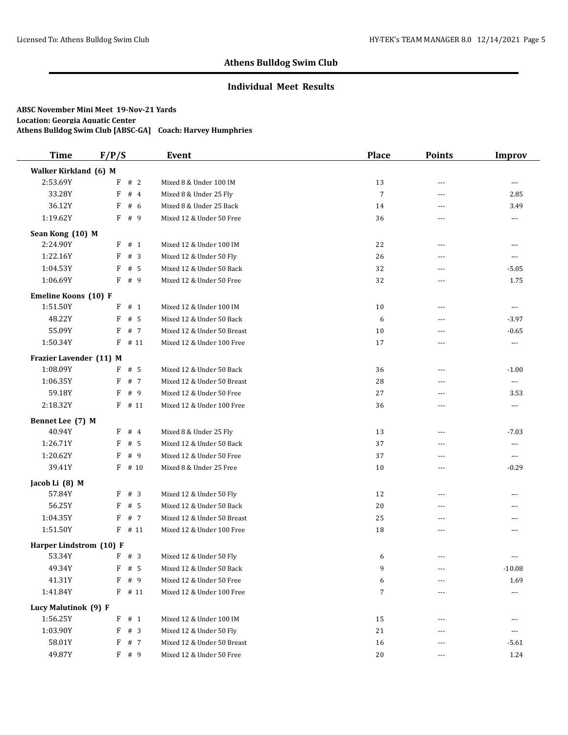### **Individual Meet Results**

| <b>Time</b>             | F/P/S      | Event                      | <b>Place</b> | <b>Points</b>  | <b>Improv</b>  |
|-------------------------|------------|----------------------------|--------------|----------------|----------------|
| Walker Kirkland (6) M   |            |                            |              |                |                |
| 2:53.69Y                | F # 2      | Mixed 8 & Under 100 IM     | 13           | $---$          | $\overline{a}$ |
| 33.28Y                  | F<br>#4    | Mixed 8 & Under 25 Fly     | 7            | ---            | 2.85           |
| 36.12Y                  | F<br># 6   | Mixed 8 & Under 25 Back    | 14           | ---            | 3.49           |
| 1:19.62Y                | # 9<br>F   | Mixed 12 & Under 50 Free   | 36           | ---            | ---            |
| Sean Kong (10) M        |            |                            |              |                |                |
| 2:24.90Y                | F<br>#1    | Mixed 12 & Under 100 IM    | 22           | $\overline{a}$ | ---            |
| 1:22.16Y                | # $3$<br>F | Mixed 12 & Under 50 Fly    | 26           | ---            | ---            |
| 1:04.53Y                | # 5<br>F   | Mixed 12 & Under 50 Back   | 32           | $- - -$        | $-5.05$        |
| 1:06.69Y                | F<br>#9    | Mixed 12 & Under 50 Free   | 32           | ---            | 1.75           |
| Emeline Koons (10) F    |            |                            |              |                |                |
| 1:51.50Y                | # 1<br>F   | Mixed 12 & Under 100 IM    | 10           | $---$          | $\cdots$       |
| 48.22Y                  | # 5<br>F   | Mixed 12 & Under 50 Back   | 6            | ---            | $-3.97$        |
| 55.09Y                  | # 7<br>F   | Mixed 12 & Under 50 Breast | 10           | ---            | $-0.65$        |
| 1:50.34Y                | F<br># 11  | Mixed 12 & Under 100 Free  | 17           | ---            | $\cdots$       |
| Frazier Lavender (11) M |            |                            |              |                |                |
| 1:08.09Y                | $F$ # 5    | Mixed 12 & Under 50 Back   | 36           | ---            | $-1.00$        |
| 1:06.35Y                | F<br># 7   | Mixed 12 & Under 50 Breast | 28           | $- - -$        | $\cdots$       |
| 59.18Y                  | F<br># 9   | Mixed 12 & Under 50 Free   | 27           | ---            | 3.53           |
| 2:18.32Y                | $F$ # 11   | Mixed 12 & Under 100 Free  | 36           | ---            | ---            |
| Bennet Lee (7) M        |            |                            |              |                |                |
| 40.94Y                  | #4<br>F    | Mixed 8 & Under 25 Fly     | 13           | $---$          | $-7.03$        |
| 1:26.71Y                | F<br>#5    | Mixed 12 & Under 50 Back   | 37           | $\overline{a}$ | $\overline{a}$ |
| 1:20.62Y                | #9<br>F    | Mixed 12 & Under 50 Free   | 37           | ---            | ---            |
| 39.41Y                  | F<br># 10  | Mixed 8 & Under 25 Free    | 10           | $- - -$        | $-0.29$        |
| Jacob Li (8) M          |            |                            |              |                |                |
| 57.84Y                  | #3<br>F    | Mixed 12 & Under 50 Fly    | 12           | $\overline{a}$ | $\overline{a}$ |
| 56.25Y                  | # 5<br>F   | Mixed 12 & Under 50 Back   | 20           | ---            | ---            |
| 1:04.35Y                | # 7<br>F   | Mixed 12 & Under 50 Breast | 25           | ---            | ---            |
| 1:51.50Y                | # 11<br>F  | Mixed 12 & Under 100 Free  | 18           | ---            | $---$          |
| Harper Lindstrom (10) F |            |                            |              |                |                |
| 53.34Y                  | F # 3      | Mixed 12 & Under 50 Fly    | 6            | $\overline{a}$ | ---            |
| 49.34Y                  | $F$ # 5    | Mixed 12 & Under 50 Back   | 9            | $\cdots$       | $-10.08$       |
| 41.31Y                  | # 9<br>F   | Mixed 12 & Under 50 Free   | 6            | ---            | 1.69           |
| 1:41.84Y                | $F$ # 11   | Mixed 12 & Under 100 Free  | 7            | ---            | ---            |
| Lucy Malutinok (9) F    |            |                            |              |                |                |
| 1:56.25Y                | # 1<br>F   | Mixed 12 & Under 100 IM    | 15           |                | ---            |
| 1:03.90Y                | F<br>#3    | Mixed 12 & Under 50 Fly    | 21           |                | ---            |
| 58.01Y                  | F<br># 7   | Mixed 12 & Under 50 Breast | 16           |                | $-5.61$        |
| 49.87Y                  | F # 9      | Mixed 12 & Under 50 Free   | 20           | ---            | $1.24\,$       |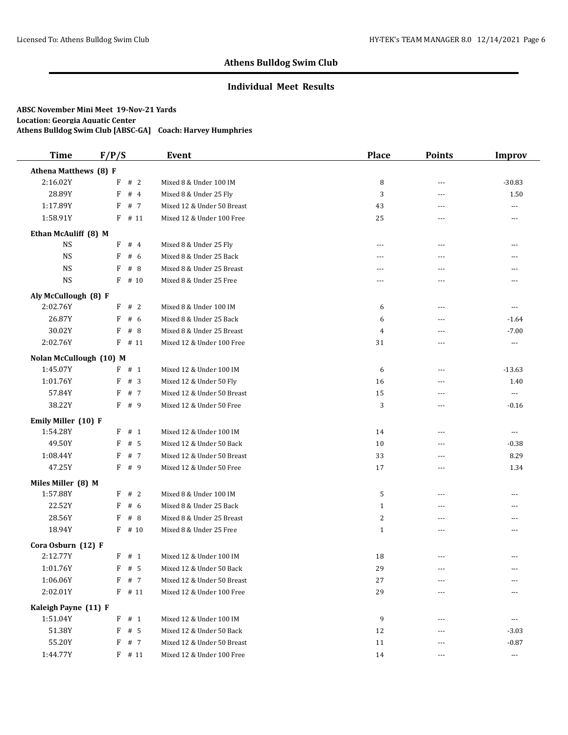### **Individual Meet Results**

| <b>Time</b>             | F/P/S     | Event                      | <b>Place</b>   | <b>Points</b>  | <b>Improv</b>            |
|-------------------------|-----------|----------------------------|----------------|----------------|--------------------------|
| Athena Matthews (8) F   |           |                            |                |                |                          |
| 2:16.02Y                | #2<br>F   | Mixed 8 & Under 100 IM     | 8              | $\sim$ $\sim$  | $-30.83$                 |
| 28.89Y                  | F<br>#4   | Mixed 8 & Under 25 Fly     | 3              | ---            | 1.50                     |
| 1:17.89Y                | F<br># 7  | Mixed 12 & Under 50 Breast | 43             | ---            | ---                      |
| 1:58.91Y                | F<br># 11 | Mixed 12 & Under 100 Free  | 25             | ---            | ---                      |
| Ethan McAuliff (8) M    |           |                            |                |                |                          |
| <b>NS</b>               | F<br>#4   | Mixed 8 & Under 25 Fly     | $\overline{a}$ | $\sim$ $\sim$  | ---                      |
| <b>NS</b>               | #6<br>F   | Mixed 8 & Under 25 Back    | ---            | $\sim$ $\sim$  |                          |
| <b>NS</b>               | #8<br>F   | Mixed 8 & Under 25 Breast  | $---$          | $- - -$        | ---                      |
| <b>NS</b>               | F<br># 10 | Mixed 8 & Under 25 Free    | ---            | ---            | ---                      |
| Aly McCullough (8) F    |           |                            |                |                |                          |
| 2:02.76Y                | #2<br>F   | Mixed 8 & Under 100 IM     | 6              | $---$          | ---                      |
| 26.87Y                  | # 6<br>F  | Mixed 8 & Under 25 Back    | 6              | ---            | $-1.64$                  |
| 30.02Y                  | F<br>#8   | Mixed 8 & Under 25 Breast  | 4              | ---            | $-7.00$                  |
| 2:02.76Y                | $F$ # 11  | Mixed 12 & Under 100 Free  | 31             | ---            | ---                      |
| Nolan McCullough (10) M |           |                            |                |                |                          |
| 1:45.07Y                | $F$ # 1   | Mixed 12 & Under 100 IM    | 6              | $---$          | $-13.63$                 |
| 1:01.76Y                | F<br>#3   | Mixed 12 & Under 50 Fly    | 16             | $---$          | 1.40                     |
| 57.84Y                  | F<br># 7  | Mixed 12 & Under 50 Breast | 15             |                | $\cdots$                 |
| 38.22Y                  | $F$ # 9   | Mixed 12 & Under 50 Free   | 3              | ---            | $-0.16$                  |
| Emily Miller (10) F     |           |                            |                |                |                          |
| 1:54.28Y                | $F$ # 1   | Mixed 12 & Under 100 IM    | 14             | ---            | $\cdots$                 |
| 49.50Y                  | F<br># 5  | Mixed 12 & Under 50 Back   | 10             | ---            | $-0.38$                  |
| 1:08.44Y                | F<br>#7   | Mixed 12 & Under 50 Breast | 33             | ---            | 8.29                     |
| 47.25Y                  | F<br># 9  | Mixed 12 & Under 50 Free   | 17             | $---$          | 1.34                     |
| Miles Miller (8) M      |           |                            |                |                |                          |
| 1:57.88Y                | F<br>#2   | Mixed 8 & Under 100 IM     | 5              | ---            | ---                      |
| 22.52Y                  | F<br>#6   | Mixed 8 & Under 25 Back    | $\mathbf{1}$   | ---            | ---                      |
| 28.56Y                  | #8<br>F   | Mixed 8 & Under 25 Breast  | 2              | ---            | ---                      |
| 18.94Y                  | F<br># 10 | Mixed 8 & Under 25 Free    | $\mathbf{1}$   | ---            | ---                      |
| Cora Osburn (12) F      |           |                            |                |                |                          |
| 2:12.77Y                | $F$ # 1   | Mixed 12 & Under 100 IM    | 18             | $\overline{a}$ | ---                      |
| 1:01.76Y                | $F$ # 5   | Mixed 12 & Under 50 Back   | 29             | $\cdots$       | ---                      |
| 1:06.06Y                | F<br># 7  | Mixed 12 & Under 50 Breast | 27             | ---            | ---                      |
| 2:02.01Y                | $F$ # 11  | Mixed 12 & Under 100 Free  | 29             | ---            | ---                      |
| Kaleigh Payne (11) F    |           |                            |                |                |                          |
| 1:51.04Y                | # 1<br>F  | Mixed 12 & Under 100 IM    | 9              | $---$          | $\cdots$                 |
| 51.38Y                  | F<br># 5  | Mixed 12 & Under 50 Back   | 12             |                | $-3.03$                  |
| 55.20Y                  | F # 7     | Mixed 12 & Under 50 Breast | 11             |                | $-0.87$                  |
| 1:44.77Y                | $F$ # 11  | Mixed 12 & Under 100 Free  | 14             |                | $\hspace{0.05cm} \ldots$ |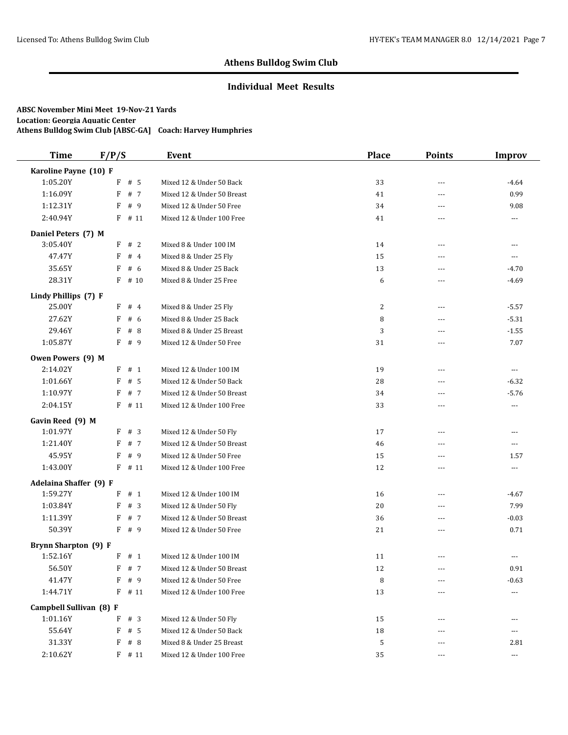### **Individual Meet Results**

| <b>Time</b>                 | F/P/S               | Event                      | <b>Place</b> | <b>Points</b>  | Improv               |
|-----------------------------|---------------------|----------------------------|--------------|----------------|----------------------|
| Karoline Payne (10) F       |                     |                            |              |                |                      |
| 1:05.20Y                    | $F$ # 5             | Mixed 12 & Under 50 Back   | 33           | $---$          | $-4.64$              |
| 1:16.09Y                    | F<br># 7            | Mixed 12 & Under 50 Breast | 41           | $-$            | 0.99                 |
| 1:12.31Y                    | F<br>#9             | Mixed 12 & Under 50 Free   | 34           | ---            | 9.08                 |
| 2:40.94Y                    | F<br># 11           | Mixed 12 & Under 100 Free  | 41           | $---$          | ---                  |
| Daniel Peters (7) M         |                     |                            |              |                |                      |
| 3:05.40Y                    | #2<br>F             | Mixed 8 & Under 100 IM     | 14           | ---            | ---                  |
| 47.47Y                      | #4<br>F             | Mixed 8 & Under 25 Fly     | 15           | $---$          | ---                  |
| 35.65Y                      | F<br># 6            | Mixed 8 & Under 25 Back    | 13           | $---$          | $-4.70$              |
| 28.31Y                      | F<br># 10           | Mixed 8 & Under 25 Free    | 6            | $\sim$ $\sim$  | $-4.69$              |
| Lindy Phillips (7) F        |                     |                            |              |                |                      |
| 25.00Y                      | #4<br>F             | Mixed 8 & Under 25 Fly     | 2            | $\cdots$       | $-5.57$              |
| 27.62Y                      | # $6$<br>F          | Mixed 8 & Under 25 Back    | 8            | $\sim$ $\sim$  | $-5.31$              |
| 29.46Y                      | #8<br>F             | Mixed 8 & Under 25 Breast  | 3            | ---            | $-1.55$              |
| 1:05.87Y                    | F<br>#9             | Mixed 12 & Under 50 Free   | 31           | $---$          | 7.07                 |
| Owen Powers (9) M           |                     |                            |              |                |                      |
| 2:14.02Y                    | F<br># 1            | Mixed 12 & Under 100 IM    | 19           | $\overline{a}$ | $\cdots$             |
| 1:01.66Y                    | F<br># 5            | Mixed 12 & Under 50 Back   | 28           | $-$            | $-6.32$              |
| 1:10.97Y                    | $\, {\bf F}$<br># 7 | Mixed 12 & Under 50 Breast | 34           | $- - -$        | $-5.76$              |
| 2:04.15Y                    | F<br># 11           | Mixed 12 & Under 100 Free  | 33           | $-$            | $---$                |
| Gavin Reed (9) M            |                     |                            |              |                |                      |
| 1:01.97Y                    | F<br>#3             | Mixed 12 & Under 50 Fly    | 17           | $---$          | ---                  |
| 1:21.40Y                    | F<br># 7            | Mixed 12 & Under 50 Breast | 46           | ---            | ---                  |
| 45.95Y                      | F<br>#9             | Mixed 12 & Under 50 Free   | 15           | $\sim$ $\sim$  | 1.57                 |
| 1:43.00Y                    | F<br># 11           | Mixed 12 & Under 100 Free  | 12           | $-$            | ---                  |
| Adelaina Shaffer (9) F      |                     |                            |              |                |                      |
| 1:59.27Y                    | F # 1               | Mixed 12 & Under 100 IM    | 16           | $---$          | $-4.67$              |
| 1:03.84Y                    | F<br>#3             | Mixed 12 & Under 50 Fly    | 20           | $---$          | 7.99                 |
| 1:11.39Y                    | #7<br>F             | Mixed 12 & Under 50 Breast | 36           | $---$          | $-0.03$              |
| 50.39Y                      | $F$ # 9             | Mixed 12 & Under 50 Free   | 21           | $- - -$        | 0.71                 |
| <b>Brynn Sharpton (9) F</b> |                     |                            |              |                |                      |
| 1:52.16Y                    | F # 1               | Mixed 12 & Under 100 IM    | 11           | ---            | ---                  |
| 56.50Y                      | $F$ # 7             | Mixed 12 & Under 50 Breast | $12\,$       | $\cdots$       | $0.91\,$             |
| 41.47Y                      | F<br># 9            | Mixed 12 & Under 50 Free   | 8            | $\cdots$       | $-0.63$              |
| 1:44.71Y                    | $F$ # 11            | Mixed 12 & Under 100 Free  | 13           | $---$          | ---                  |
| Campbell Sullivan (8) F     |                     |                            |              |                |                      |
| 1:01.16Y                    | F<br># 3            | Mixed 12 & Under 50 Fly    | 15           | $---$          | ---                  |
| 55.64Y                      | F<br># 5            | Mixed 12 & Under 50 Back   | $18\,$       |                | ---                  |
| 31.33Y                      | F<br>#8             | Mixed 8 & Under 25 Breast  | 5            |                | 2.81                 |
| 2:10.62Y                    | $F$ # 11            | Mixed 12 & Under 100 Free  | 35           | $\cdots$       | $\scriptstyle\cdots$ |
|                             |                     |                            |              |                |                      |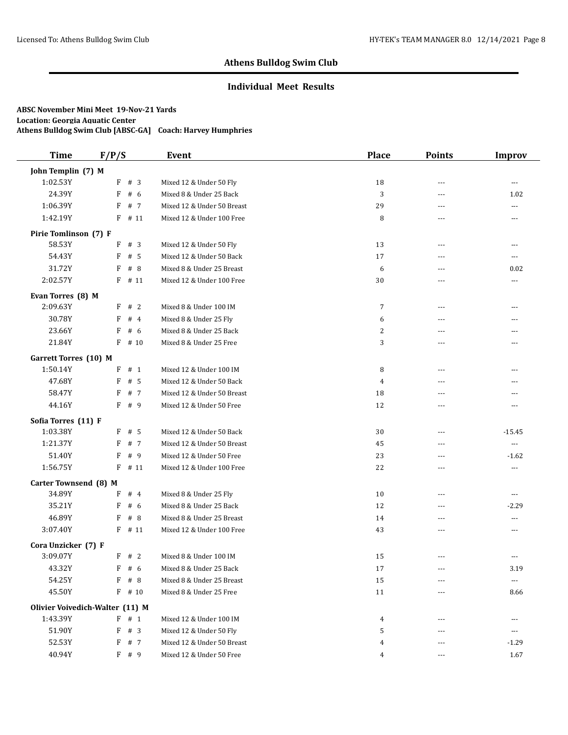### **Individual Meet Results**

| <b>Time</b>                  | F/P/S                           | Event                      | <b>Place</b> | <b>Points</b> | <b>Improv</b>  |
|------------------------------|---------------------------------|----------------------------|--------------|---------------|----------------|
| John Templin (7) M           |                                 |                            |              |               |                |
| 1:02.53Y                     | F # 3                           | Mixed 12 & Under 50 Fly    | 18           | ---           | $\overline{a}$ |
| 24.39Y                       | F<br># 6                        | Mixed 8 & Under 25 Back    | 3            | ---           | 1.02           |
| 1:06.39Y                     | F<br># 7                        | Mixed 12 & Under 50 Breast | 29           | $- - -$       | $---$          |
| 1:42.19Y                     | F<br># 11                       | Mixed 12 & Under 100 Free  | 8            | $---$         | ---            |
| Pirie Tomlinson (7) F        |                                 |                            |              |               |                |
| 58.53Y                       | F<br>#3                         | Mixed 12 & Under 50 Fly    | 13           | $---$         | ---            |
| 54.43Y                       | F<br># 5                        | Mixed 12 & Under 50 Back   | 17           | $- - -$       | ---            |
| 31.72Y                       | #8<br>F                         | Mixed 8 & Under 25 Breast  | 6            | ---           | 0.02           |
| 2:02.57Y                     | F<br># 11                       | Mixed 12 & Under 100 Free  | 30           | ---           | ---            |
| Evan Torres (8) M            |                                 |                            |              |               |                |
| 2:09.63Y                     | F<br>#2                         | Mixed 8 & Under 100 IM     | 7            | $---$         | ---            |
| 30.78Y                       | #4<br>F                         | Mixed 8 & Under 25 Fly     | 6            | $\sim$ $\sim$ | ---            |
| 23.66Y                       | F<br>#6                         | Mixed 8 & Under 25 Back    | 2            | ---           | ---            |
| 21.84Y                       | $F$ # 10                        | Mixed 8 & Under 25 Free    | 3            | $- - -$       | ---            |
| <b>Garrett Torres (10) M</b> |                                 |                            |              |               |                |
| 1:50.14Y                     | F<br># 1                        | Mixed 12 & Under 100 IM    | 8            | $- - -$       | ---            |
| 47.68Y                       | F<br># 5                        | Mixed 12 & Under 50 Back   | 4            | ---           |                |
| 58.47Y                       | F<br># 7                        | Mixed 12 & Under 50 Breast | 18           | ---           | ---            |
| 44.16Y                       | F<br># 9                        | Mixed 12 & Under 50 Free   | 12           | ---           | ---            |
| Sofia Torres (11) F          |                                 |                            |              |               |                |
| 1:03.38Y                     | $F$ # 5                         | Mixed 12 & Under 50 Back   | 30           | $- - -$       | $-15.45$       |
| 1:21.37Y                     | # 7<br>F                        | Mixed 12 & Under 50 Breast | 45           | ---           | $\cdots$       |
| 51.40Y                       | F<br>#9                         | Mixed 12 & Under 50 Free   | 23           | ---           | $-1.62$        |
| 1:56.75Y                     | F<br># 11                       | Mixed 12 & Under 100 Free  | 22           | ---           | ---            |
| Carter Townsend (8) M        |                                 |                            |              |               |                |
| 34.89Y                       | F<br>#4                         | Mixed 8 & Under 25 Fly     | 10           | ---           | ---            |
| 35.21Y                       | F<br>#6                         | Mixed 8 & Under 25 Back    | 12           | $---$         | $-2.29$        |
| 46.89Y                       | F<br>#8                         | Mixed 8 & Under 25 Breast  | 14           | $- - -$       | ---            |
| 3:07.40Y                     | F<br># 11                       | Mixed 12 & Under 100 Free  | 43           | ---           | ---            |
| Cora Unzicker (7) F          |                                 |                            |              |               |                |
| 3:09.07Y                     | F # 2                           | Mixed 8 & Under 100 IM     | 15           | ---           |                |
| 43.32Y                       | $F$ # 6                         | Mixed 8 & Under 25 Back    | 17           | ---           | 3.19           |
| 54.25Y                       | F<br># 8                        | Mixed 8 & Under 25 Breast  | 15           | $\cdots$      | ---            |
| 45.50Y                       | $F$ # 10                        | Mixed 8 & Under 25 Free    | 11           | ---           | 8.66           |
|                              | Olivier Voivedich-Walter (11) M |                            |              |               |                |
| 1:43.39Y                     | F<br>#1                         | Mixed 12 & Under 100 IM    | 4            | ---           | ---            |
| 51.90Y                       | F<br>#3                         | Mixed 12 & Under 50 Fly    | 5            | $---$         | ---            |
| 52.53Y                       | F # 7                           | Mixed 12 & Under 50 Breast | 4            |               | $-1.29$        |
| 40.94Y                       | F # 9                           | Mixed 12 & Under 50 Free   | 4            | $\cdots$      | 1.67           |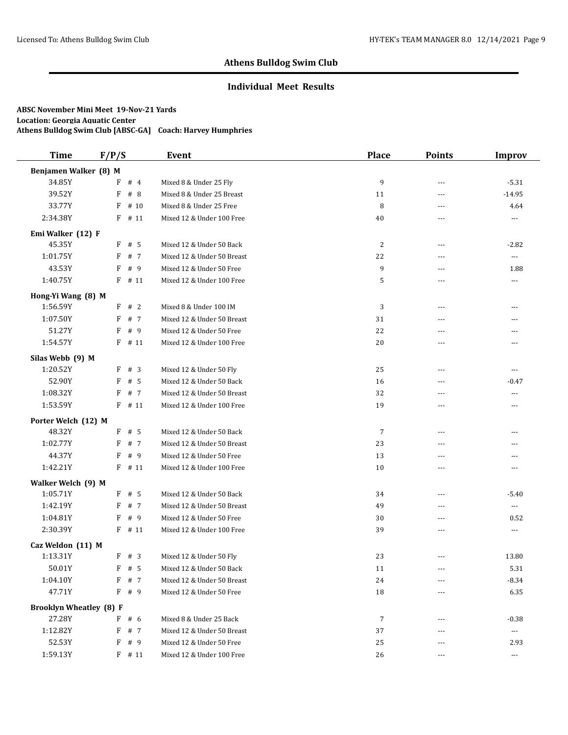### **Individual Meet Results**

| <b>Time</b>                    | F/P/S     | Event                      | <b>Place</b> | <b>Points</b> | <b>Improv</b>            |
|--------------------------------|-----------|----------------------------|--------------|---------------|--------------------------|
| Benjamen Walker (8) M          |           |                            |              |               |                          |
| 34.85Y                         | F<br>#4   | Mixed 8 & Under 25 Fly     | 9            | $\sim$ $\sim$ | $-5.31$                  |
| 39.52Y                         | F<br># 8  | Mixed 8 & Under 25 Breast  | 11           | ---           | $-14.95$                 |
| 33.77Y                         | F<br># 10 | Mixed 8 & Under 25 Free    | 8            | $---$         | 4.64                     |
| 2:34.38Y                       | F<br># 11 | Mixed 12 & Under 100 Free  | 40           | $---$         | ---                      |
| Emi Walker (12) F              |           |                            |              |               |                          |
| 45.35Y                         | F<br># 5  | Mixed 12 & Under 50 Back   | 2            | $---$         | $-2.82$                  |
| 1:01.75Y                       | # 7<br>F  | Mixed 12 & Under 50 Breast | 22           | $---$         | $\overline{\phantom{a}}$ |
| 43.53Y                         | F<br># 9  | Mixed 12 & Under 50 Free   | 9            | $\sim$ $\sim$ | 1.88                     |
| 1:40.75Y                       | $F$ # 11  | Mixed 12 & Under 100 Free  | 5            | ---           | ---                      |
| Hong-Yi Wang (8) M             |           |                            |              |               |                          |
| 1:56.59Y                       | F<br>#2   | Mixed 8 & Under 100 IM     | 3            | $---$         | ---                      |
| 1:07.50Y                       | # 7<br>F  | Mixed 12 & Under 50 Breast | 31           | $---$         | ---                      |
| 51.27Y                         | F<br>#9   | Mixed 12 & Under 50 Free   | 22           | ---           | ---                      |
| 1:54.57Y                       | $F$ # 11  | Mixed 12 & Under 100 Free  | 20           | $- - -$       | ---                      |
| Silas Webb (9) M               |           |                            |              |               |                          |
| 1:20.52Y                       | F # 3     | Mixed 12 & Under 50 Fly    | 25           | $- - -$       | ---                      |
| 52.90Y                         | # 5<br>F  | Mixed 12 & Under 50 Back   | 16           | $\sim$ $\sim$ | $-0.47$                  |
| 1:08.32Y                       | F # 7     | Mixed 12 & Under 50 Breast | 32           | ---           | ---                      |
| 1:53.59Y                       | $F$ # 11  | Mixed 12 & Under 100 Free  | 19           | $\sim$ $\sim$ | ---                      |
| Porter Welch (12) M            |           |                            |              |               |                          |
| 48.32Y                         | $F$ # 5   | Mixed 12 & Under 50 Back   | 7            | $- - -$       | ---                      |
| 1:02.77Y                       | F # 7     | Mixed 12 & Under 50 Breast | 23           | ---           | ---                      |
| 44.37Y                         | F<br># 9  | Mixed 12 & Under 50 Free   | 13           | ---           | ---                      |
| 1:42.21Y                       | F<br># 11 | Mixed 12 & Under 100 Free  | 10           | ---           | ---                      |
| Walker Welch (9) M             |           |                            |              |               |                          |
| 1:05.71Y                       | $F$ # 5   | Mixed 12 & Under 50 Back   | 34           | $\sim$ $\sim$ | $-5.40$                  |
| 1:42.19Y                       | F<br># 7  | Mixed 12 & Under 50 Breast | 49           | $---$         | $\overline{\phantom{a}}$ |
| 1:04.81Y                       | # 9<br>F  | Mixed 12 & Under 50 Free   | 30           | $- - -$       | 0.52                     |
| 2:30.39Y                       | $F$ # 11  | Mixed 12 & Under 100 Free  | 39           | $---$         | ---                      |
| Caz Weldon (11) M              |           |                            |              |               |                          |
| 1:13.31Y                       | F # 3     | Mixed 12 & Under 50 Fly    | 23           | ---           | 13.80                    |
| 50.01Y                         | $F$ # 5   | Mixed 12 & Under 50 Back   | 11           | $---$         | 5.31                     |
| 1:04.10Y                       | F<br># 7  | Mixed 12 & Under 50 Breast | 24           | ---           | $-8.34$                  |
| 47.71Y                         | F # 9     | Mixed 12 & Under 50 Free   | 18           | ---           | 6.35                     |
| <b>Brooklyn Wheatley (8) F</b> |           |                            |              |               |                          |
| 27.28Y                         | #6<br>F   | Mixed 8 & Under 25 Back    | 7            | ---           | $-0.38$                  |
| 1:12.82Y                       | F<br># 7  | Mixed 12 & Under 50 Breast | 37           | $---$         | $\scriptstyle \cdots$    |
| 52.53Y                         | F<br># 9  | Mixed 12 & Under 50 Free   | 25           |               | 2.93                     |
| 1:59.13Y                       | $F$ # 11  | Mixed 12 & Under 100 Free  | 26           | $\cdots$      | $\hspace{0.05cm} \ldots$ |